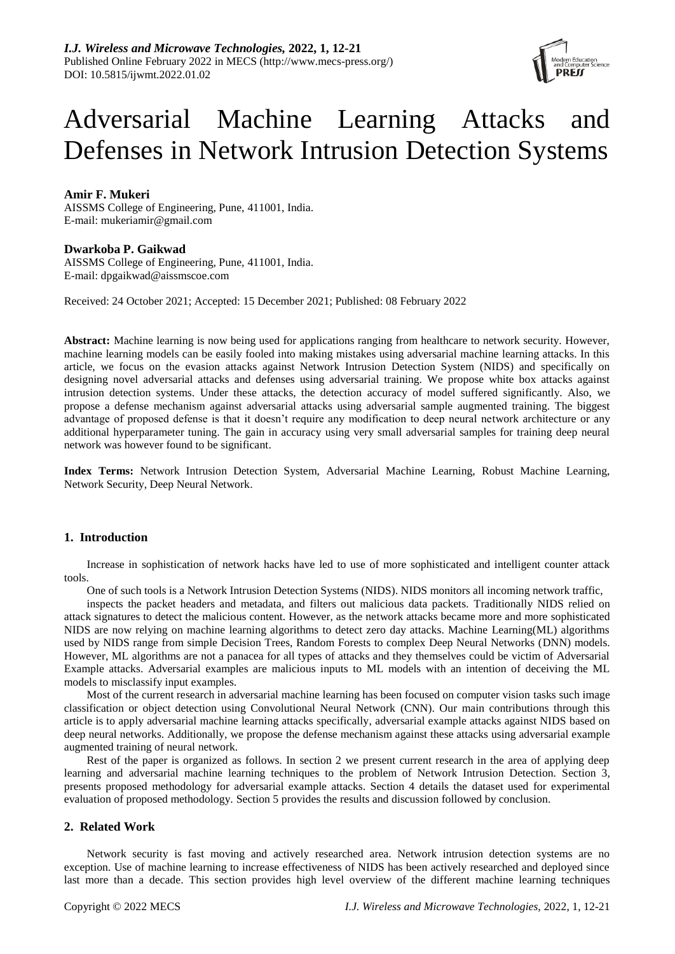

# Adversarial Machine Learning Attacks and Defenses in Network Intrusion Detection Systems

# **Amir F. Mukeri**

AISSMS College of Engineering, Pune, 411001, India. E-mail: mukeriamir@gmail.com

# **Dwarkoba P. Gaikwad**

AISSMS College of Engineering, Pune, 411001, India. E-mail: dpgaikwad@aissmscoe.com

Received: 24 October 2021; Accepted: 15 December 2021; Published: 08 February 2022

**Abstract:** Machine learning is now being used for applications ranging from healthcare to network security. However, machine learning models can be easily fooled into making mistakes using adversarial machine learning attacks. In this article, we focus on the evasion attacks against Network Intrusion Detection System (NIDS) and specifically on designing novel adversarial attacks and defenses using adversarial training. We propose white box attacks against intrusion detection systems. Under these attacks, the detection accuracy of model suffered significantly. Also, we propose a defense mechanism against adversarial attacks using adversarial sample augmented training. The biggest advantage of proposed defense is that it doesn't require any modification to deep neural network architecture or any additional hyperparameter tuning. The gain in accuracy using very small adversarial samples for training deep neural network was however found to be significant.

**Index Terms:** Network Intrusion Detection System, Adversarial Machine Learning, Robust Machine Learning, Network Security, Deep Neural Network.

# **1. Introduction**

Increase in sophistication of network hacks have led to use of more sophisticated and intelligent counter attack tools.

One of such tools is a Network Intrusion Detection Systems (NIDS). NIDS monitors all incoming network traffic,

inspects the packet headers and metadata, and filters out malicious data packets. Traditionally NIDS relied on attack signatures to detect the malicious content. However, as the network attacks became more and more sophisticated NIDS are now relying on machine learning algorithms to detect zero day attacks. Machine Learning(ML) algorithms used by NIDS range from simple Decision Trees, Random Forests to complex Deep Neural Networks (DNN) models. However, ML algorithms are not a panacea for all types of attacks and they themselves could be victim of Adversarial Example attacks. Adversarial examples are malicious inputs to ML models with an intention of deceiving the ML models to misclassify input examples.

Most of the current research in adversarial machine learning has been focused on computer vision tasks such image classification or object detection using Convolutional Neural Network (CNN). Our main contributions through this article is to apply adversarial machine learning attacks specifically, adversarial example attacks against NIDS based on deep neural networks. Additionally, we propose the defense mechanism against these attacks using adversarial example augmented training of neural network.

Rest of the paper is organized as follows. In section 2 we present current research in the area of applying deep learning and adversarial machine learning techniques to the problem of Network Intrusion Detection. Section 3, presents proposed methodology for adversarial example attacks. Section 4 details the dataset used for experimental evaluation of proposed methodology. Section 5 provides the results and discussion followed by conclusion.

# **2. Related Work**

Network security is fast moving and actively researched area. Network intrusion detection systems are no exception. Use of machine learning to increase effectiveness of NIDS has been actively researched and deployed since last more than a decade. This section provides high level overview of the different machine learning techniques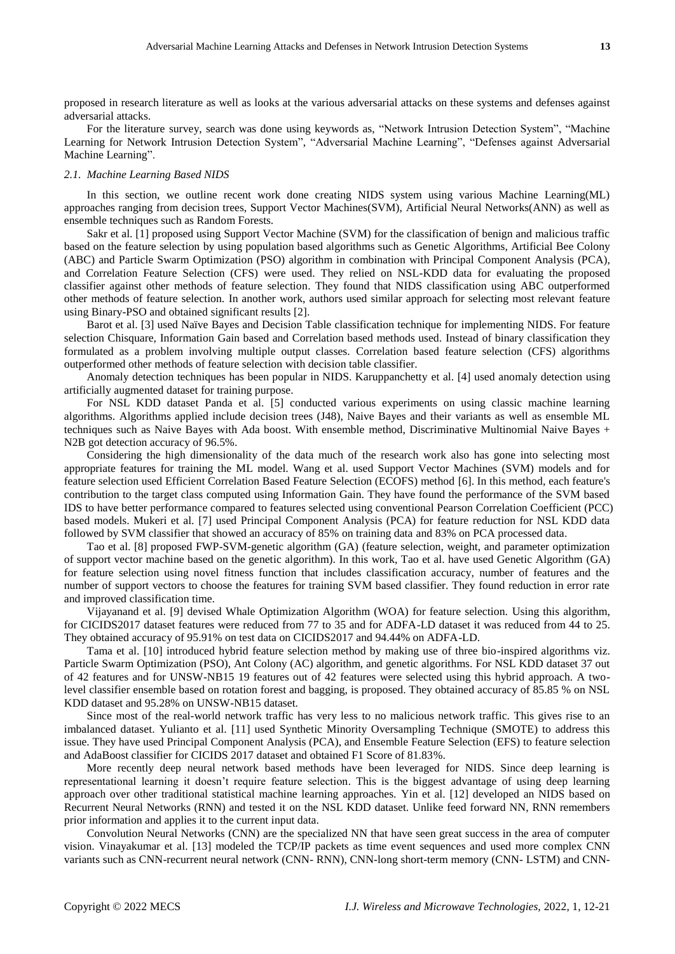For the literature survey, search was done using keywords as, "Network Intrusion Detection System", "Machine Learning for Network Intrusion Detection System", "Adversarial Machine Learning", "Defenses against Adversarial Machine Learning".

## *2.1. Machine Learning Based NIDS*

In this section, we outline recent work done creating NIDS system using various Machine Learning(ML) approaches ranging from decision trees, Support Vector Machines(SVM), Artificial Neural Networks(ANN) as well as ensemble techniques such as Random Forests.

Sakr et al. [1] proposed using Support Vector Machine (SVM) for the classification of benign and malicious traffic based on the feature selection by using population based algorithms such as Genetic Algorithms, Artificial Bee Colony (ABC) and Particle Swarm Optimization (PSO) algorithm in combination with Principal Component Analysis (PCA), and Correlation Feature Selection (CFS) were used. They relied on NSL-KDD data for evaluating the proposed classifier against other methods of feature selection. They found that NIDS classification using ABC outperformed other methods of feature selection. In another work, authors used similar approach for selecting most relevant feature using Binary-PSO and obtained significant results [2].

Barot et al. [3] used Naïve Bayes and Decision Table classification technique for implementing NIDS. For feature selection Chisquare, Information Gain based and Correlation based methods used. Instead of binary classification they formulated as a problem involving multiple output classes. Correlation based feature selection (CFS) algorithms outperformed other methods of feature selection with decision table classifier.

Anomaly detection techniques has been popular in NIDS. Karuppanchetty et al. [4] used anomaly detection using artificially augmented dataset for training purpose.

For NSL KDD dataset Panda et al. [5] conducted various experiments on using classic machine learning algorithms. Algorithms applied include decision trees (J48), Naive Bayes and their variants as well as ensemble ML techniques such as Naive Bayes with Ada boost. With ensemble method, Discriminative Multinomial Naive Bayes + N<sub>2</sub>B got detection accuracy of 96.5%.

Considering the high dimensionality of the data much of the research work also has gone into selecting most appropriate features for training the ML model. Wang et al. used Support Vector Machines (SVM) models and for feature selection used Efficient Correlation Based Feature Selection (ECOFS) method [6]. In this method, each feature's contribution to the target class computed using Information Gain. They have found the performance of the SVM based IDS to have better performance compared to features selected using conventional Pearson Correlation Coefficient (PCC) based models. Mukeri et al. [7] used Principal Component Analysis (PCA) for feature reduction for NSL KDD data followed by SVM classifier that showed an accuracy of 85% on training data and 83% on PCA processed data.

Tao et al. [8] proposed FWP-SVM-genetic algorithm (GA) (feature selection, weight, and parameter optimization of support vector machine based on the genetic algorithm). In this work, Tao et al. have used Genetic Algorithm (GA) for feature selection using novel fitness function that includes classification accuracy, number of features and the number of support vectors to choose the features for training SVM based classifier. They found reduction in error rate and improved classification time.

Vijayanand et al. [9] devised Whale Optimization Algorithm (WOA) for feature selection. Using this algorithm, for CICIDS2017 dataset features were reduced from 77 to 35 and for ADFA-LD dataset it was reduced from 44 to 25. They obtained accuracy of 95.91% on test data on CICIDS2017 and 94.44% on ADFA-LD.

Tama et al. [10] introduced hybrid feature selection method by making use of three bio-inspired algorithms viz. Particle Swarm Optimization (PSO), Ant Colony (AC) algorithm, and genetic algorithms. For NSL KDD dataset 37 out of 42 features and for UNSW-NB15 19 features out of 42 features were selected using this hybrid approach. A twolevel classifier ensemble based on rotation forest and bagging, is proposed. They obtained accuracy of 85.85 % on NSL KDD dataset and 95.28% on UNSW-NB15 dataset.

Since most of the real-world network traffic has very less to no malicious network traffic. This gives rise to an imbalanced dataset. Yulianto et al. [11] used Synthetic Minority Oversampling Technique (SMOTE) to address this issue. They have used Principal Component Analysis (PCA), and Ensemble Feature Selection (EFS) to feature selection and AdaBoost classifier for CICIDS 2017 dataset and obtained F1 Score of 81.83%.

More recently deep neural network based methods have been leveraged for NIDS. Since deep learning is representational learning it doesn't require feature selection. This is the biggest advantage of using deep learning approach over other traditional statistical machine learning approaches. Yin et al. [12] developed an NIDS based on Recurrent Neural Networks (RNN) and tested it on the NSL KDD dataset. Unlike feed forward NN, RNN remembers prior information and applies it to the current input data.

Convolution Neural Networks (CNN) are the specialized NN that have seen great success in the area of computer vision. Vinayakumar et al. [13] modeled the TCP/IP packets as time event sequences and used more complex CNN variants such as CNN-recurrent neural network (CNN- RNN), CNN-long short-term memory (CNN- LSTM) and CNN-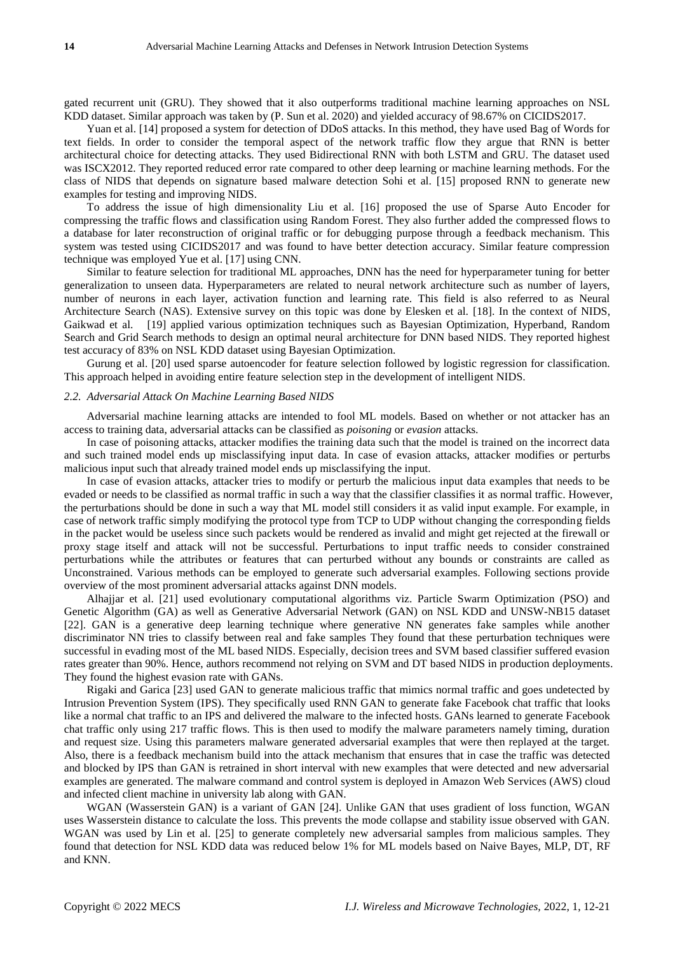gated recurrent unit (GRU). They showed that it also outperforms traditional machine learning approaches on NSL KDD dataset. Similar approach was taken by (P. Sun et al. 2020) and yielded accuracy of 98.67% on CICIDS2017.

Yuan et al. [14] proposed a system for detection of DDoS attacks. In this method, they have used Bag of Words for text fields. In order to consider the temporal aspect of the network traffic flow they argue that RNN is better architectural choice for detecting attacks. They used Bidirectional RNN with both LSTM and GRU. The dataset used was ISCX2012. They reported reduced error rate compared to other deep learning or machine learning methods. For the class of NIDS that depends on signature based malware detection Sohi et al. [15] proposed RNN to generate new examples for testing and improving NIDS.

To address the issue of high dimensionality Liu et al. [16] proposed the use of Sparse Auto Encoder for compressing the traffic flows and classification using Random Forest. They also further added the compressed flows to a database for later reconstruction of original traffic or for debugging purpose through a feedback mechanism. This system was tested using CICIDS2017 and was found to have better detection accuracy. Similar feature compression technique was employed Yue et al. [17] using CNN.

Similar to feature selection for traditional ML approaches, DNN has the need for hyperparameter tuning for better generalization to unseen data. Hyperparameters are related to neural network architecture such as number of layers, number of neurons in each layer, activation function and learning rate. This field is also referred to as Neural Architecture Search (NAS). Extensive survey on this topic was done by Elesken et al. [18]. In the context of NIDS, Gaikwad et al. [19] applied various optimization techniques such as Bayesian Optimization, Hyperband, Random Search and Grid Search methods to design an optimal neural architecture for DNN based NIDS. They reported highest test accuracy of 83% on NSL KDD dataset using Bayesian Optimization.

Gurung et al. [20] used sparse autoencoder for feature selection followed by logistic regression for classification. This approach helped in avoiding entire feature selection step in the development of intelligent NIDS.

#### *2.2. Adversarial Attack On Machine Learning Based NIDS*

Adversarial machine learning attacks are intended to fool ML models. Based on whether or not attacker has an access to training data, adversarial attacks can be classified as *poisoning* or *evasion* attacks.

In case of poisoning attacks, attacker modifies the training data such that the model is trained on the incorrect data and such trained model ends up misclassifying input data. In case of evasion attacks, attacker modifies or perturbs malicious input such that already trained model ends up misclassifying the input.

In case of evasion attacks, attacker tries to modify or perturb the malicious input data examples that needs to be evaded or needs to be classified as normal traffic in such a way that the classifier classifies it as normal traffic. However, the perturbations should be done in such a way that ML model still considers it as valid input example. For example, in case of network traffic simply modifying the protocol type from TCP to UDP without changing the corresponding fields in the packet would be useless since such packets would be rendered as invalid and might get rejected at the firewall or proxy stage itself and attack will not be successful. Perturbations to input traffic needs to consider constrained perturbations while the attributes or features that can perturbed without any bounds or constraints are called as Unconstrained. Various methods can be employed to generate such adversarial examples. Following sections provide overview of the most prominent adversarial attacks against DNN models.

Alhajjar et al. [21] used evolutionary computational algorithms viz. Particle Swarm Optimization (PSO) and Genetic Algorithm (GA) as well as Generative Adversarial Network (GAN) on NSL KDD and UNSW-NB15 dataset [22]. GAN is a generative deep learning technique where generative NN generates fake samples while another discriminator NN tries to classify between real and fake samples They found that these perturbation techniques were successful in evading most of the ML based NIDS. Especially, decision trees and SVM based classifier suffered evasion rates greater than 90%. Hence, authors recommend not relying on SVM and DT based NIDS in production deployments. They found the highest evasion rate with GANs.

Rigaki and Garica [23] used GAN to generate malicious traffic that mimics normal traffic and goes undetected by Intrusion Prevention System (IPS). They specifically used RNN GAN to generate fake Facebook chat traffic that looks like a normal chat traffic to an IPS and delivered the malware to the infected hosts. GANs learned to generate Facebook chat traffic only using 217 traffic flows. This is then used to modify the malware parameters namely timing, duration and request size. Using this parameters malware generated adversarial examples that were then replayed at the target. Also, there is a feedback mechanism build into the attack mechanism that ensures that in case the traffic was detected and blocked by IPS than GAN is retrained in short interval with new examples that were detected and new adversarial examples are generated. The malware command and control system is deployed in Amazon Web Services (AWS) cloud and infected client machine in university lab along with GAN.

WGAN (Wasserstein GAN) is a variant of GAN [24]. Unlike GAN that uses gradient of loss function, WGAN uses Wasserstein distance to calculate the loss. This prevents the mode collapse and stability issue observed with GAN. WGAN was used by Lin et al. [25] to generate completely new adversarial samples from malicious samples. They found that detection for NSL KDD data was reduced below 1% for ML models based on Naive Bayes, MLP, DT, RF and KNN.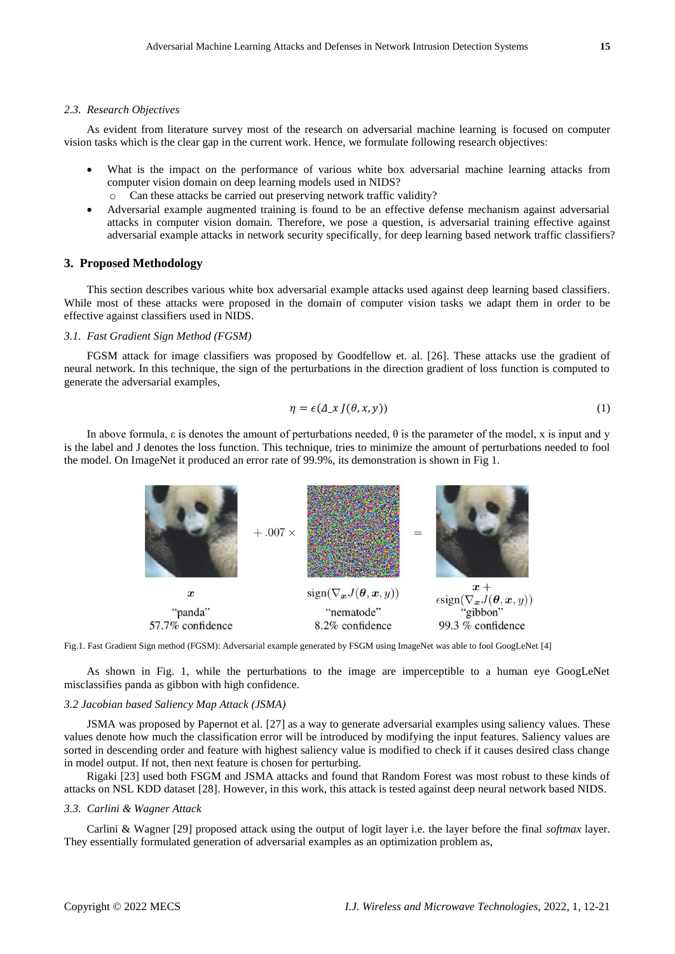#### *2.3. Research Objectives*

As evident from literature survey most of the research on adversarial machine learning is focused on computer vision tasks which is the clear gap in the current work. Hence, we formulate following research objectives:

- What is the impact on the performance of various white box adversarial machine learning attacks from computer vision domain on deep learning models used in NIDS?
	- o Can these attacks be carried out preserving network traffic validity?
- Adversarial example augmented training is found to be an effective defense mechanism against adversarial attacks in computer vision domain. Therefore, we pose a question, is adversarial training effective against adversarial example attacks in network security specifically, for deep learning based network traffic classifiers?

## **3. Proposed Methodology**

This section describes various white box adversarial example attacks used against deep learning based classifiers. While most of these attacks were proposed in the domain of computer vision tasks we adapt them in order to be effective against classifiers used in NIDS.

## *3.1. Fast Gradient Sign Method (FGSM)*

FGSM attack for image classifiers was proposed by Goodfellow et. al. [26]. These attacks use the gradient of neural network. In this technique, the sign of the perturbations in the direction gradient of loss function is computed to generate the adversarial examples,

$$
\eta = \epsilon(\Delta_x \, J(\theta, x, y)) \tag{1}
$$

In above formula,  $\varepsilon$  is denotes the amount of perturbations needed,  $\theta$  is the parameter of the model, x is input and y is the label and J denotes the loss function. This technique, tries to minimize the amount of perturbations needed to fool the model. On ImageNet it produced an error rate of 99.9%, its demonstration is shown in Fig 1.



Fig.1. Fast Gradient Sign method (FGSM): Adversarial example generated by FSGM using ImageNet was able to fool GoogLeNet [4]

As shown in Fig. 1, while the perturbations to the image are imperceptible to a human eye GoogLeNet misclassifies panda as gibbon with high confidence.

## *3.2 Jacobian based Saliency Map Attack (JSMA)*

JSMA was proposed by Papernot et al. [27] as a way to generate adversarial examples using saliency values. These values denote how much the classification error will be introduced by modifying the input features. Saliency values are sorted in descending order and feature with highest saliency value is modified to check if it causes desired class change in model output. If not, then next feature is chosen for perturbing.

Rigaki [23] used both FSGM and JSMA attacks and found that Random Forest was most robust to these kinds of attacks on NSL KDD dataset [28]. However, in this work, this attack is tested against deep neural network based NIDS.

### *3.3. Carlini & Wagner Attack*

Carlini & Wagner [29] proposed attack using the output of logit layer i.e. the layer before the final *softmax* layer. They essentially formulated generation of adversarial examples as an optimization problem as,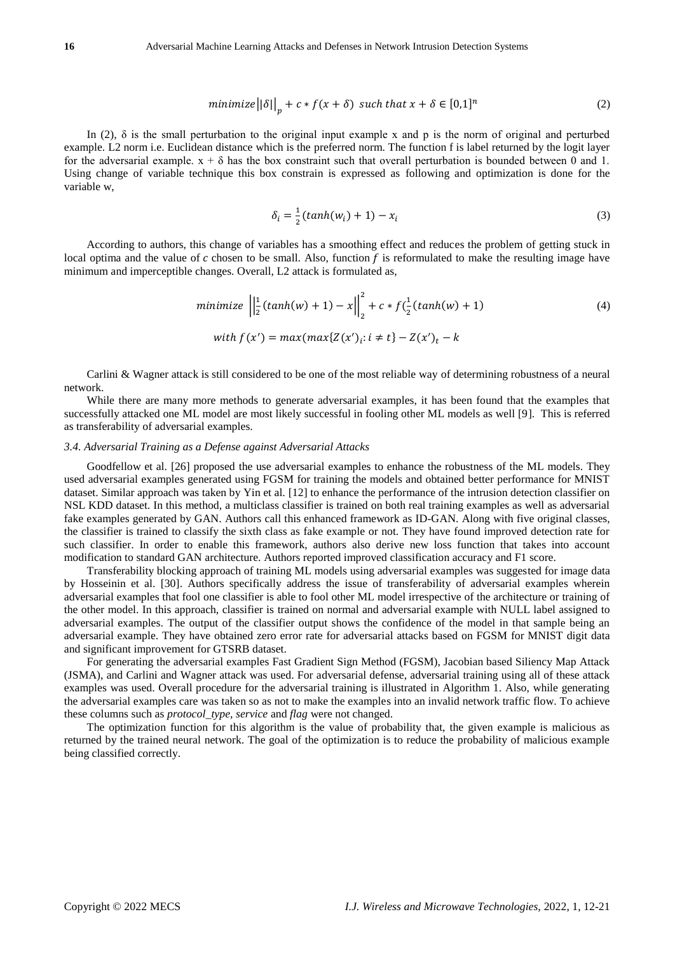$$
minimize ||\delta||_p + c * f(x + \delta) \text{ such that } x + \delta \in [0,1]^n
$$
\n<sup>(2)</sup>

In (2),  $\delta$  is the small perturbation to the original input example x and p is the norm of original and perturbed example. L2 norm i.e. Euclidean distance which is the preferred norm. The function f is label returned by the logit layer for the adversarial example.  $x + \delta$  has the box constraint such that overall perturbation is bounded between 0 and 1. Using change of variable technique this box constrain is expressed as following and optimization is done for the variable w,

$$
\delta_i = \frac{1}{2} (tanh(w_i) + 1) - x_i
$$
\n(3)

According to authors, this change of variables has a smoothing effect and reduces the problem of getting stuck in local optima and the value of  $c$  chosen to be small. Also, function  $f$  is reformulated to make the resulting image have minimum and imperceptible changes. Overall, L2 attack is formulated as,

minimize 
$$
\left\| \frac{1}{2} (\tanh(w) + 1) - x \right\|_2^2 + c * f(\frac{1}{2} (\tanh(w) + 1))
$$
 (4)  
with  $f(x') = max(max\{Z(x')_t: i \neq t\} - Z(x')_t - k)$ 

Carlini & Wagner attack is still considered to be one of the most reliable way of determining robustness of a neural network.

While there are many more methods to generate adversarial examples, it has been found that the examples that successfully attacked one ML model are most likely successful in fooling other ML models as well [9]. This is referred as transferability of adversarial examples.

### *3.4. Adversarial Training as a Defense against Adversarial Attacks*

Goodfellow et al. [26] proposed the use adversarial examples to enhance the robustness of the ML models. They used adversarial examples generated using FGSM for training the models and obtained better performance for MNIST dataset. Similar approach was taken by Yin et al. [12] to enhance the performance of the intrusion detection classifier on NSL KDD dataset. In this method, a multiclass classifier is trained on both real training examples as well as adversarial fake examples generated by GAN. Authors call this enhanced framework as ID-GAN. Along with five original classes, the classifier is trained to classify the sixth class as fake example or not. They have found improved detection rate for such classifier. In order to enable this framework, authors also derive new loss function that takes into account modification to standard GAN architecture. Authors reported improved classification accuracy and F1 score.

Transferability blocking approach of training ML models using adversarial examples was suggested for image data by Hosseinin et al. [30]. Authors specifically address the issue of transferability of adversarial examples wherein adversarial examples that fool one classifier is able to fool other ML model irrespective of the architecture or training of the other model. In this approach, classifier is trained on normal and adversarial example with NULL label assigned to adversarial examples. The output of the classifier output shows the confidence of the model in that sample being an adversarial example. They have obtained zero error rate for adversarial attacks based on FGSM for MNIST digit data and significant improvement for GTSRB dataset.

For generating the adversarial examples Fast Gradient Sign Method (FGSM), Jacobian based Siliency Map Attack (JSMA), and Carlini and Wagner attack was used. For adversarial defense, adversarial training using all of these attack examples was used. Overall procedure for the adversarial training is illustrated in Algorithm 1. Also, while generating the adversarial examples care was taken so as not to make the examples into an invalid network traffic flow. To achieve these columns such as *protocol\_type, service* and *flag* were not changed.

The optimization function for this algorithm is the value of probability that, the given example is malicious as returned by the trained neural network. The goal of the optimization is to reduce the probability of malicious example being classified correctly.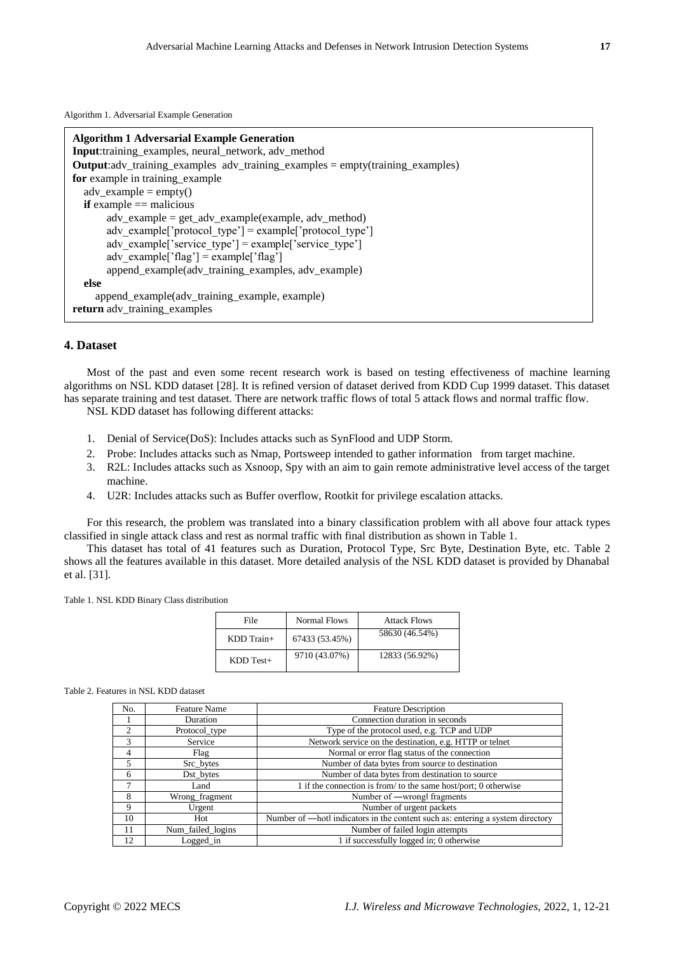Algorithm 1. Adversarial Example Generation

| <b>Algorithm 1 Adversarial Example Generation</b><br>Input:training_examples, neural_network, adv_method |
|----------------------------------------------------------------------------------------------------------|
| <b>Output:</b> $\text{adv\_training\_examples}$ adv_training_examples = empty(training_examples)         |
| for example in training example                                                                          |
| $adv\_example = empty()$                                                                                 |
| <b>if</b> example $==$ malicious                                                                         |
| $adv\_example = get\_adv\_example(example, adv\_method)$                                                 |
| adv example['protocol type'] = example['protocol type']                                                  |
| adv example['service type'] = example['service type']                                                    |
| adv example[' $flag'$ ] = example[' $flag'$ ]                                                            |
| append_example(adv_training_examples, adv_example)                                                       |
| else                                                                                                     |
| append_example(adv_training_example, example)                                                            |
| return adv_training_examples                                                                             |

# **4. Dataset**

Most of the past and even some recent research work is based on testing effectiveness of machine learning algorithms on NSL KDD dataset [28]. It is refined version of dataset derived from KDD Cup 1999 dataset. This dataset has separate training and test dataset. There are network traffic flows of total 5 attack flows and normal traffic flow.

NSL KDD dataset has following different attacks:

- 1. Denial of Service(DoS): Includes attacks such as SynFlood and UDP Storm.
- 2. Probe: Includes attacks such as Nmap, Portsweep intended to gather information from target machine.
- 3. R2L: Includes attacks such as Xsnoop, Spy with an aim to gain remote administrative level access of the target machine.
- 4. U2R: Includes attacks such as Buffer overflow, Rootkit for privilege escalation attacks.

For this research, the problem was translated into a binary classification problem with all above four attack types classified in single attack class and rest as normal traffic with final distribution as shown in Table 1.

This dataset has total of 41 features such as Duration, Protocol Type, Src Byte, Destination Byte, etc. Table 2 shows all the features available in this dataset. More detailed analysis of the NSL KDD dataset is provided by Dhanabal et al. [31].

Table 1. NSL KDD Binary Class distribution

| File           | Normal Flows   | <b>Attack Flows</b> |
|----------------|----------------|---------------------|
| $KDD$ Train+   | 67433 (53.45%) | 58630 (46.54%)      |
| $KDD$ Test $+$ | 9710 (43.07%)  | 12833 (56.92%)      |

#### Table 2. Features in NSL KDD dataset

| No.           | <b>Feature Name</b> | <b>Feature Description</b>                                                     |  |
|---------------|---------------------|--------------------------------------------------------------------------------|--|
|               | Duration            | Connection duration in seconds                                                 |  |
| $\mathcal{L}$ | Protocol_type       | Type of the protocol used, e.g. TCP and UDP                                    |  |
| $\mathcal{R}$ | Service             | Network service on the destination, e.g. HTTP or telnet                        |  |
| 4             | Flag                | Normal or error flag status of the connection                                  |  |
| 5             | Src_bytes           | Number of data bytes from source to destination                                |  |
| 6             | Dst_bytes           | Number of data bytes from destination to source                                |  |
|               | Land                | 1 if the connection is from/to the same host/port; 0 otherwise                 |  |
| 8             | Wrong_fragment      | Number of —wrongl fragments                                                    |  |
| 9             | Urgent              | Number of urgent packets                                                       |  |
| 10            | Hot                 | Number of —hotl indicators in the content such as: entering a system directory |  |
| 11            | Num_failed_logins   | Number of failed login attempts                                                |  |
| 12            | Logged_in           | 1 if successfully logged in; 0 otherwise                                       |  |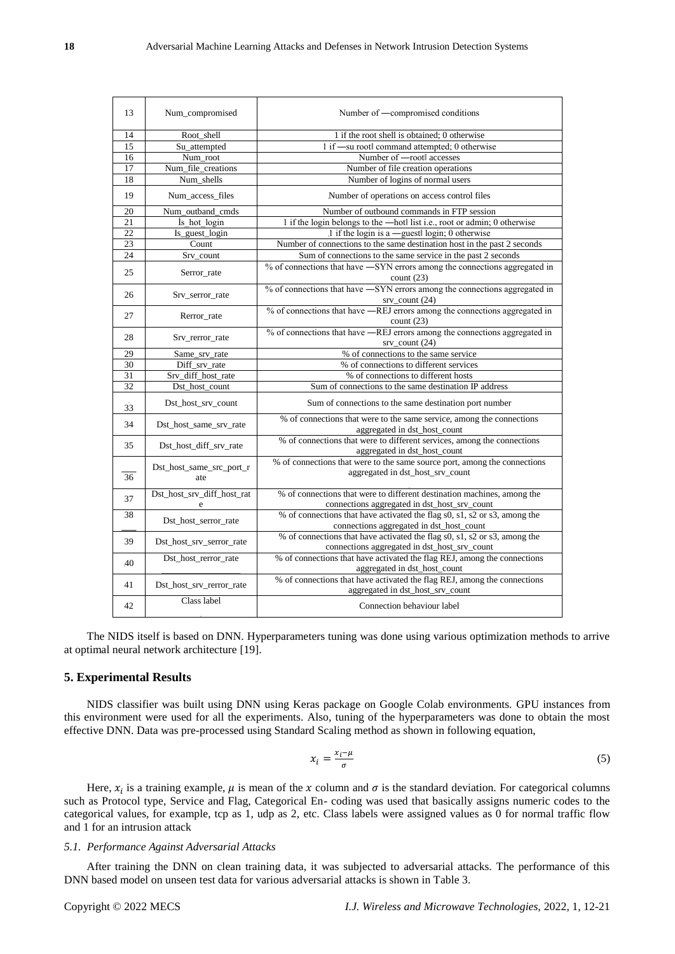| 13              | Num_compromised                 | Number of —compromised conditions                                                                                         |  |
|-----------------|---------------------------------|---------------------------------------------------------------------------------------------------------------------------|--|
| 14              | Root_shell                      | 1 if the root shell is obtained; 0 otherwise                                                                              |  |
| 15              | Su_attempted                    | 1 if -su rootl command attempted; 0 otherwise                                                                             |  |
| 16              | Num_root                        | Number of -rootl accesses                                                                                                 |  |
| $\overline{17}$ | Num_file_creations              | Number of file creation operations                                                                                        |  |
| 18              | Num_shells                      | Number of logins of normal users                                                                                          |  |
| 19              | Num_access_files                | Number of operations on access control files                                                                              |  |
| 20              | Num_outband_cmds                | Number of outbound commands in FTP session                                                                                |  |
| 21              | İs hot login                    | 1 if the login belongs to the -hotl list i.e., root or admin; 0 otherwise                                                 |  |
| 22              | Is_guest_login                  | 1 if the login is a -guest login; 0 otherwise                                                                             |  |
| 23              | Count                           | Number of connections to the same destination host in the past 2 seconds                                                  |  |
| 24              | Srv count                       | Sum of connections to the same service in the past 2 seconds                                                              |  |
| 25              | Serror_rate                     | % of connections that have —SYN errors among the connections aggregated in<br>count $(23)$                                |  |
| 26              | Srv_serror_rate                 | % of connections that have —SYN errors among the connections aggregated in<br>$srv\_count(24)$                            |  |
| 27              | Rerror_rate                     | % of connections that have -REJ errors among the connections aggregated in<br>count(23)                                   |  |
| 28              | Srv_rerror_rate                 | % of connections that have —REJ errors among the connections aggregated in<br>$srv\_count(24)$                            |  |
| 29              | Same srv rate                   | % of connections to the same service                                                                                      |  |
| 30              | Diff srv rate                   | % of connections to different services                                                                                    |  |
| 31              | Srv_diff_host_rate              | % of connections to different hosts                                                                                       |  |
| 32              | Dst_host_count                  | Sum of connections to the same destination IP address                                                                     |  |
| 33              | Dst_host_srv_count              | Sum of connections to the same destination port number                                                                    |  |
| 34              | Dst_host_same_srv_rate          | % of connections that were to the same service, among the connections<br>aggregated in dst_host_count                     |  |
| 35              | Dst_host_diff_srv_rate          | % of connections that were to different services, among the connections<br>aggregated in dst_host_count                   |  |
| 36              | Dst_host_same_src_port_r<br>ate | % of connections that were to the same source port, among the connections<br>aggregated in dst_host_srv_count             |  |
| 37              | Dst_host_srv_diff_host_rat<br>e | % of connections that were to different destination machines, among the<br>connections aggregated in dst_host_srv_count   |  |
| 38              | Dst_host_serror_rate            | % of connections that have activated the flag s0, s1, s2 or s3, among the<br>connections aggregated in dst_host_count     |  |
| 39              | Dst_host_srv_serror_rate        | % of connections that have activated the flag s0, s1, s2 or s3, among the<br>connections aggregated in dst_host_srv_count |  |
| 40              | Dst_host_rerror_rate            | % of connections that have activated the flag REJ, among the connections<br>aggregated in dst_host_count                  |  |
| 41              | Dst_host_srv_rerror_rate        | % of connections that have activated the flag REJ, among the connections<br>aggregated in dst_host_srv_count              |  |
| 42              | Class label                     | Connection behaviour label                                                                                                |  |

The NIDS itself is based on DNN. Hyperparameters tuning was done using various optimization methods to arrive at optimal neural network architecture [19].

# **5. Experimental Results**

NIDS classifier was built using DNN using Keras package on Google Colab environments. GPU instances from this environment were used for all the experiments. Also, tuning of the hyperparameters was done to obtain the most effective DNN. Data was pre-processed using Standard Scaling method as shown in following equation,

$$
x_i = \frac{x_i - \mu}{\sigma} \tag{5}
$$

Here,  $x_i$  is a training example,  $\mu$  is mean of the x column and  $\sigma$  is the standard deviation. For categorical columns such as Protocol type, Service and Flag, Categorical En- coding was used that basically assigns numeric codes to the categorical values, for example, tcp as 1, udp as 2, etc. Class labels were assigned values as 0 for normal traffic flow and 1 for an intrusion attack

## *5.1. Performance Against Adversarial Attacks*

After training the DNN on clean training data, it was subjected to adversarial attacks. The performance of this DNN based model on unseen test data for various adversarial attacks is shown in Table 3.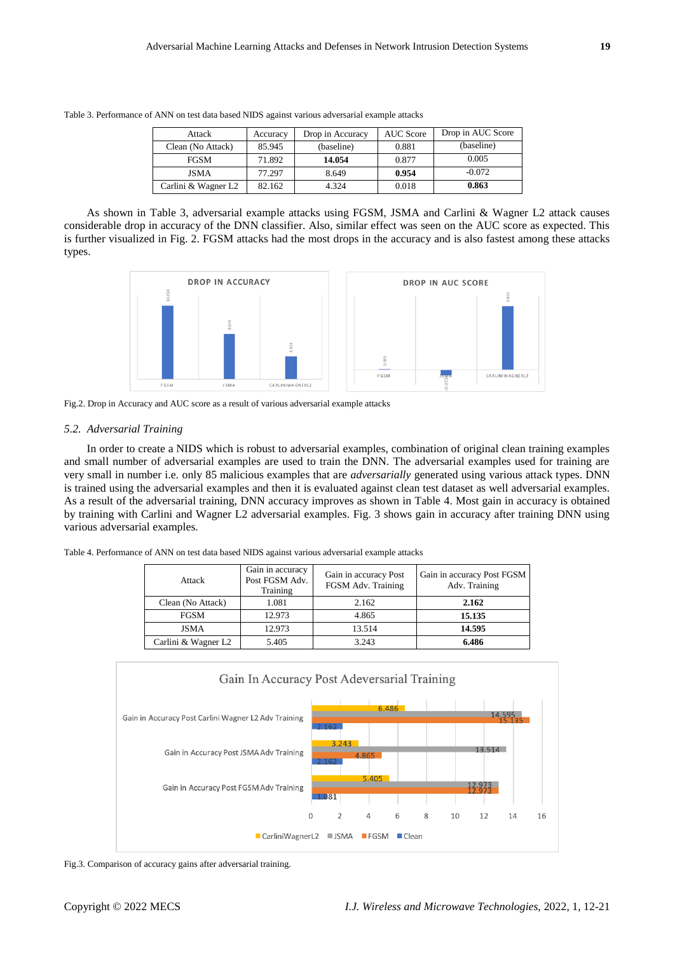| Attack                          | Accuracy | Drop in Accuracy | <b>AUC</b> Score | Drop in AUC Score |
|---------------------------------|----------|------------------|------------------|-------------------|
| Clean (No Attack)               | 85.945   | (baseline)       | 0.881            | (baseline)        |
| <b>FGSM</b>                     | 71.892   | 14.054           | 0.877            | 0.005             |
| <b>JSMA</b>                     | 77.297   | 8.649            | 0.954            | $-0.072$          |
| Carlini & Wagner L <sub>2</sub> | 82.162   | 4.324            | 0.018            | 0.863             |

Table 3. Performance of ANN on test data based NIDS against various adversarial example attacks

As shown in Table 3, adversarial example attacks using FGSM, JSMA and Carlini & Wagner L2 attack causes considerable drop in accuracy of the DNN classifier. Also, similar effect was seen on the AUC score as expected. This is further visualized in Fig. 2. FGSM attacks had the most drops in the accuracy and is also fastest among these attacks types.



Fig.2. Drop in Accuracy and AUC score as a result of various adversarial example attacks

## *5.2. Adversarial Training*

In order to create a NIDS which is robust to adversarial examples, combination of original clean training examples and small number of adversarial examples are used to train the DNN. The adversarial examples used for training are very small in number i.e. only 85 malicious examples that are *adversarially* generated using various attack types. DNN is trained using the adversarial examples and then it is evaluated against clean test dataset as well adversarial examples. As a result of the adversarial training, DNN accuracy improves as shown in Table 4. Most gain in accuracy is obtained by training with Carlini and Wagner L2 adversarial examples. Fig. 3 shows gain in accuracy after training DNN using various adversarial examples.

Table 4. Performance of ANN on test data based NIDS against various adversarial example attacks

| Attack              | Gain in accuracy<br>Post FGSM Adv.<br>Training | Gain in accuracy Post<br>FGSM Adv. Training | Gain in accuracy Post FGSM<br>Adv. Training |
|---------------------|------------------------------------------------|---------------------------------------------|---------------------------------------------|
| Clean (No Attack)   | 1.081                                          | 2.162                                       | 2.162                                       |
| <b>FGSM</b>         | 12.973                                         | 4.865                                       | 15.135                                      |
| <b>JSMA</b>         | 12.973                                         | 13.514                                      | 14.595                                      |
| Carlini & Wagner L2 | 5.405                                          | 3.243                                       | 6.486                                       |



Fig.3. Comparison of accuracy gains after adversarial training.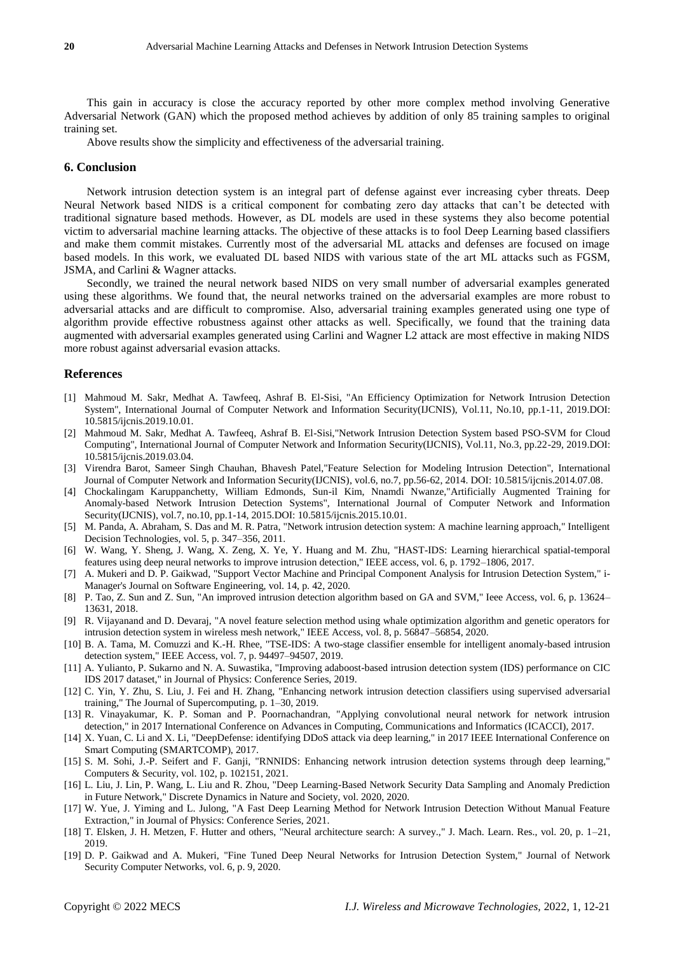This gain in accuracy is close the accuracy reported by other more complex method involving Generative Adversarial Network (GAN) which the proposed method achieves by addition of only 85 training samples to original training set.

Above results show the simplicity and effectiveness of the adversarial training.

#### **6. Conclusion**

Network intrusion detection system is an integral part of defense against ever increasing cyber threats. Deep Neural Network based NIDS is a critical component for combating zero day attacks that can't be detected with traditional signature based methods. However, as DL models are used in these systems they also become potential victim to adversarial machine learning attacks. The objective of these attacks is to fool Deep Learning based classifiers and make them commit mistakes. Currently most of the adversarial ML attacks and defenses are focused on image based models. In this work, we evaluated DL based NIDS with various state of the art ML attacks such as FGSM, JSMA, and Carlini & Wagner attacks.

Secondly, we trained the neural network based NIDS on very small number of adversarial examples generated using these algorithms. We found that, the neural networks trained on the adversarial examples are more robust to adversarial attacks and are difficult to compromise. Also, adversarial training examples generated using one type of algorithm provide effective robustness against other attacks as well. Specifically, we found that the training data augmented with adversarial examples generated using Carlini and Wagner L2 attack are most effective in making NIDS more robust against adversarial evasion attacks.

#### **References**

- [1] Mahmoud M. Sakr, Medhat A. Tawfeeq, Ashraf B. El-Sisi, "An Efficiency Optimization for Network Intrusion Detection System", International Journal of Computer Network and Information Security(IJCNIS), Vol.11, No.10, pp.1-11, 2019.DOI: 10.5815/ijcnis.2019.10.01.
- [2] Mahmoud M. Sakr, Medhat A. Tawfeeq, Ashraf B. El-Sisi,"Network Intrusion Detection System based PSO-SVM for Cloud Computing", International Journal of Computer Network and Information Security(IJCNIS), Vol.11, No.3, pp.22-29, 2019.DOI: 10.5815/ijcnis.2019.03.04.
- [3] Virendra Barot, Sameer Singh Chauhan, Bhavesh Patel,"Feature Selection for Modeling Intrusion Detection", International Journal of Computer Network and Information Security(IJCNIS), vol.6, no.7, pp.56-62, 2014. DOI: 10.5815/ijcnis.2014.07.08.
- [4] Chockalingam Karuppanchetty, William Edmonds, Sun-il Kim, Nnamdi Nwanze,"Artificially Augmented Training for Anomaly-based Network Intrusion Detection Systems", International Journal of Computer Network and Information Security(IJCNIS), vol.7, no.10, pp.1-14, 2015.DOI: 10.5815/ijcnis.2015.10.01.
- [5] M. Panda, A. Abraham, S. Das and M. R. Patra, "Network intrusion detection system: A machine learning approach," Intelligent Decision Technologies, vol. 5, p. 347–356, 2011.
- [6] W. Wang, Y. Sheng, J. Wang, X. Zeng, X. Ye, Y. Huang and M. Zhu, "HAST-IDS: Learning hierarchical spatial-temporal features using deep neural networks to improve intrusion detection," IEEE access, vol. 6, p. 1792–1806, 2017.
- [7] A. Mukeri and D. P. Gaikwad, "Support Vector Machine and Principal Component Analysis for Intrusion Detection System," i-Manager's Journal on Software Engineering, vol. 14, p. 42, 2020.
- [8] P. Tao, Z. Sun and Z. Sun, "An improved intrusion detection algorithm based on GA and SVM," Ieee Access, vol. 6, p. 13624– 13631, 2018.
- [9] R. Vijayanand and D. Devaraj, "A novel feature selection method using whale optimization algorithm and genetic operators for intrusion detection system in wireless mesh network," IEEE Access, vol. 8, p. 56847–56854, 2020.
- [10] B. A. Tama, M. Comuzzi and K.-H. Rhee, "TSE-IDS: A two-stage classifier ensemble for intelligent anomaly-based intrusion detection system," IEEE Access, vol. 7, p. 94497–94507, 2019.
- [11] A. Yulianto, P. Sukarno and N. A. Suwastika, "Improving adaboost-based intrusion detection system (IDS) performance on CIC IDS 2017 dataset," in Journal of Physics: Conference Series, 2019.
- [12] C. Yin, Y. Zhu, S. Liu, J. Fei and H. Zhang, "Enhancing network intrusion detection classifiers using supervised adversarial training," The Journal of Supercomputing, p. 1–30, 2019.
- [13] R. Vinayakumar, K. P. Soman and P. Poornachandran, "Applying convolutional neural network for network intrusion detection," in 2017 International Conference on Advances in Computing, Communications and Informatics (ICACCI), 2017.
- [14] X. Yuan, C. Li and X. Li, "DeepDefense: identifying DDoS attack via deep learning," in 2017 IEEE International Conference on Smart Computing (SMARTCOMP), 2017.
- [15] S. M. Sohi, J.-P. Seifert and F. Ganji, "RNNIDS: Enhancing network intrusion detection systems through deep learning," Computers & Security, vol. 102, p. 102151, 2021.
- [16] L. Liu, J. Lin, P. Wang, L. Liu and R. Zhou, "Deep Learning-Based Network Security Data Sampling and Anomaly Prediction in Future Network," Discrete Dynamics in Nature and Society, vol. 2020, 2020.
- [17] W. Yue, J. Yiming and L. Julong, "A Fast Deep Learning Method for Network Intrusion Detection Without Manual Feature Extraction," in Journal of Physics: Conference Series, 2021.
- [18] T. Elsken, J. H. Metzen, F. Hutter and others, "Neural architecture search: A survey.," J. Mach. Learn. Res., vol. 20, p. 1–21, 2019.
- [19] D. P. Gaikwad and A. Mukeri, "Fine Tuned Deep Neural Networks for Intrusion Detection System," Journal of Network Security Computer Networks, vol. 6, p. 9, 2020.